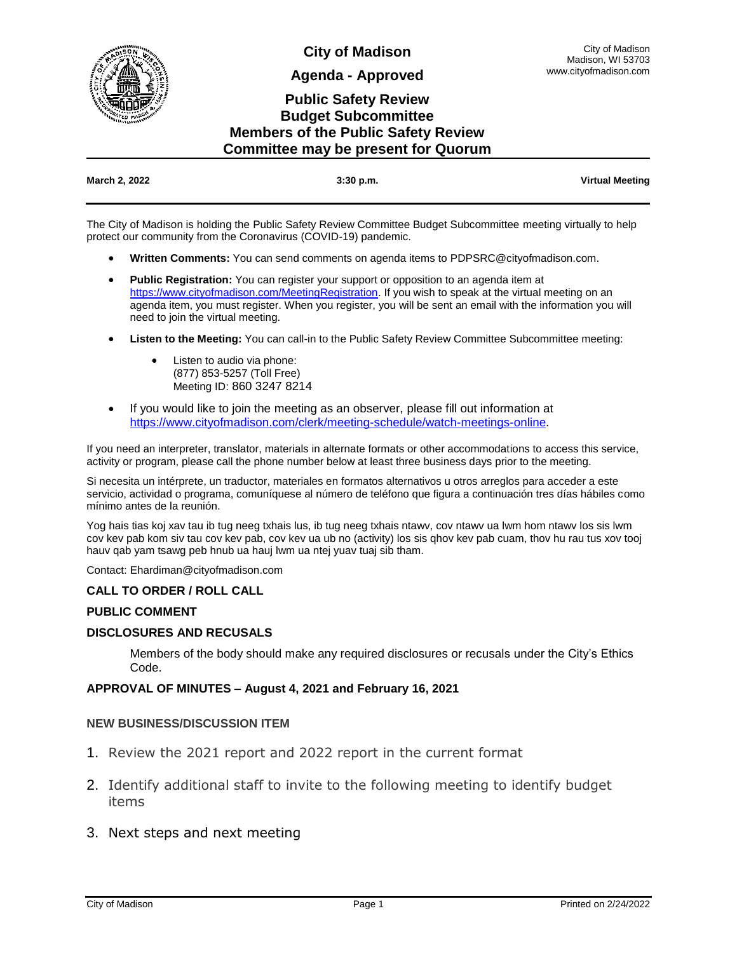

**City of Madison**

**Agenda - Approved**

## **Public Safety Review Budget Subcommittee Members of the Public Safety Review Committee may be present for Quorum**

| March 2, 2022 | $3:30$ p.m. | <b>Virtual Meeting</b> |
|---------------|-------------|------------------------|
|               |             |                        |

The City of Madison is holding the Public Safety Review Committee Budget Subcommittee meeting virtually to help protect our community from the Coronavirus (COVID-19) pandemic.

- **Written Comments:** You can send comments on agenda items to PDPSRC@cityofmadison.com.
- **Public Registration:** You can register your support or opposition to an agenda item at [https://www.cityofmadison.com/MeetingRegistration.](https://www.cityofmadison.com/MeetingRegistration) If you wish to speak at the virtual meeting on an agenda item, you must register. When you register, you will be sent an email with the information you will need to join the virtual meeting.
- **Listen to the Meeting:** You can call-in to the Public Safety Review Committee Subcommittee meeting:
	- Listen to audio via phone: (877) 853-5257 (Toll Free) Meeting ID: 860 3247 8214
- If you would like to join the meeting as an observer, please fill out information at [https://www.cityofmadison.com/clerk/meeting-schedule/watch-meetings-online.](https://www.cityofmadison.com/clerk/meeting-schedule/watch-meetings-online)

If you need an interpreter, translator, materials in alternate formats or other accommodations to access this service, activity or program, please call the phone number below at least three business days prior to the meeting.

Si necesita un intérprete, un traductor, materiales en formatos alternativos u otros arreglos para acceder a este servicio, actividad o programa, comuníquese al número de teléfono que figura a continuación tres días hábiles como mínimo antes de la reunión.

Yog hais tias koj xav tau ib tug neeg txhais lus, ib tug neeg txhais ntawv, cov ntawv ua lwm hom ntawv los sis lwm cov kev pab kom siv tau cov kev pab, cov kev ua ub no (activity) los sis qhov kev pab cuam, thov hu rau tus xov tooj hauv qab yam tsawg peb hnub ua hauj lwm ua ntej yuav tuaj sib tham.

Contact: Ehardiman@cityofmadison.com

### **CALL TO ORDER / ROLL CALL**

### **PUBLIC COMMENT**

### **DISCLOSURES AND RECUSALS**

Members of the body should make any required disclosures or recusals under the City's Ethics Code.

### **APPROVAL OF MINUTES – August 4, 2021 and February 16, 2021**

### **NEW BUSINESS/DISCUSSION ITEM**

- 1. Review the 2021 report and 2022 report in the current format
- 2. Identify additional staff to invite to the following meeting to identify budget items
- 3. Next steps and next meeting

City of Madison Madison, WI 53703 www.cityofmadison.com